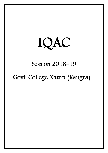

## Session 2018-19

# Govt. College Naura (Kangra)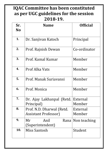## IQAC Committee has been constituted as per UGC guidelines for the session 2018-19.

| Sr.<br><b>No</b> | <b>Name</b>                                               | <b>Official</b>    |
|------------------|-----------------------------------------------------------|--------------------|
| 1.               | Dr. Sanjivan Katoch                                       | Principal          |
| 2 <sub>1</sub>   | Prof. Rajnish Dewan                                       | Co-ordinator       |
| 3.               | Prof. Kamal Kumar                                         | Member             |
| 4.               | Prof Alka Vats                                            | Member             |
| 5.               | Prof. Manak Suriavansi                                    | Member             |
| 6.               | Prof. Monica                                              | Member             |
| 7.               | Dr. Ajay Lakhanpal (Retd.<br>Principal)                   | External<br>Member |
| 8.               | Prof. N.D. Dharwal (Retd.<br><b>Assistant Professor</b> ) | External<br>Member |
| 9.               | Anil<br>Mr<br>Rana<br>(Superintendent)                    | Non teaching       |
| 10.              | Miss Santosh                                              | Student            |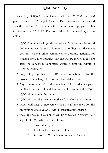#### IQAC Meeting-I

A meeting of IQAC Committee was held on 02/07/2018 at 2:30 pm in office of the Principal. Principal Dr. Sanjivan Katoch presided over the meeting. The agenda of the meeting was to prepare a plan for the session 2018-19. Decisions taken in the meeting are as follow.

- 1. IQAC Committee will guide the Women's Grievance Redressal Cell committee, Career Guidance, Counselling and Placement Cell and various other committees to organise activities for students for which resource persons will be invited and there after the concerned committee would submit the report to IQAC co-ordinator.
- 2. Copy of prospectus 2018-19 is to be submitted by the prospectus in-charge, Dr. Pradeep Kaundal for record.
- 3. Any achievement of faculty members (like academics paper publications, research and Seminars will be submitted to IQAC. IQAC will maintain the record.
- 4. IQAC will organise meetings with staff, students and alumini.
- 5. IQAC will ensure involvement of all staff members for the preparation of SSR (NAAC) with in specified time period.
- 6. Meeting once in three months will be convened to discuss the 7 aspects of IQAC which are as follows:
	- I. Curricular aspect.
	- II. Teaching learning and evaluation.
	- III. Research in November action and extension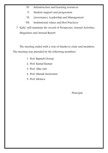- IV. Infrastructure and learning resources
- V. Student support and progression
- VI. Governance, Leadership and Management
- VII. Institutional values and Best Practices.

7. IQAC will maintain the record of Prospectus, Annual Activities, Magazines and Annual Report.

The meeting ended with a vote of thanks to chair and members. The meeting was attended by the following members.

- 1. Prof. Rajnish Dewan
- 2. Prof. Kamal Kumar
- 3. Prof. Alka vats
- 4. Prof. Manak Suriavansi
- 5. Prof. Monica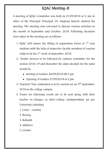## IQAC Meeting-II

A meeting of IQAC Committee was held on 01/09/2018 at 2: pm in office of the Principal. Principal, Dr. Sanjivan Katoch chaired the meeting. The meeting was convened to discuss various activities in the month of September and October, 2018. Following decisions were taken in the meeting are as follows:

- 1. IQAC will ensure the filling of registration forms of  $1<sup>st</sup>$  year students with the help of respective faculty members of various subjects by the  $1<sup>st</sup>$  week of September, 2018.
- 2. Tender process to be followed by canteen committee for the session 2018-19 and thereafter the dates decided for the same would be:
	- Inviting of tenders 26/09/2018 till 3 pm
	- Opening of tenders 27/09/2018 at 2 pm
- 3. Teachers' Day celebration is to be carried out on  $5<sup>th</sup>$  September, 2018 in the college campus.
- 4. Teams for following events are to be sent along with their teacher in-charges, in Inter-college championships (as per University calendar)
	- 1. Cross country
	- 2. Boxing
	- 3. Kabaddi
	- 4. Athletics
	- 5. Cricket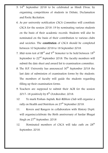- 5.  $14<sup>th</sup>$  September 2018 to be celebrated as Hindi Divas, by organising competitions of students in Debate, Declamation and Poetic Recitation.
- 6. As per university notification CSCA Committee will constitute CSCA for the session 2018-19 by nominating various students on the basis of their academic records. Students will also be nominated on the basis of their contribution to various clubs and societies. The constitution of CSCA should be completed between 10 September 2018 to 18 September 2018.
- 7. Mid-term test of III<sup>rd</sup> and  $V<sup>th</sup>$  Semester to be held between  $18<sup>th</sup>$ September to  $22<sup>nd</sup>$  September 2018. The faculty members will submit the date sheet and award list to examination committee.
- 8. The H.P. University has announced  $30<sup>th</sup>$  September 2018 the last date of submission of examination forms by the students. The members of faculty will guide the students regarding filling up their examination forms.
- 9. Teachers are supposed to submit their ACR for the session 2017-18 positively by  $8^{th}$  Octoberober, 2018.
- 10. To mark Poshan-Saptah, Red-Ribbon Club will organise a rally on Health and Nutrition on  $27<sup>th</sup>$  September 2018.
- 11. Rovers and Rangers in collaboration with History Deptt. will organise/celebrate the Birth anniversary of Sardar Bhagat Singh on  $27<sup>th</sup>$  September, 2018
- 12. Nominated members of CSCA will take oath on  $28<sup>th</sup>$ September, 2018.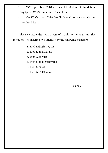- 13.  $24^{\text{th}}$  September, 2018 will be celebrated as NSS Fundation Day by the NSS Volunteers in the college.
- 14. On 2<sup>nd</sup> October, 2018 Gandhi Jayanti to be celebrated as 'Swachta Divas'.

The meeting ended with a vote of thanks to the chair and the members. The meeting was attended by the following members:

- 1. Prof. Rajnish Dewan
- 2. Prof. Kamal Kumar
- 3. Prof. Alka vats
- 4. Prof. Manak Suriavansi
- 5. Prof. Monica
- 6. Prof. N.D. Dharwal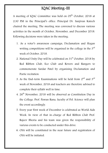#### IQAC Meeting-III

A meeting of IQAC Committee was held on 05<sup>th</sup> October, 2018 at 2:30 PM in the Principal's office. Principal Dr. Sanjivan Katoch chaired the meeting. The meeting was convened to discuss various activities in the month of October, November, and December 2018. Following decisions were taken in the meeting:

- 1. As a voter's awareness campaign, Declamation and Slogan writing competitions will be organised in the college in the  $3<sup>rd</sup>$ week of October, 2018.
- 2. National Unity Day will be celebrated on  $31<sup>st</sup>$  October, 2018 by Red Ribbon Club, Eco Club and Rovers and Rangers to commemorate Sardar Patel by organising Declamation and Poetic recitation.
- 3. As the End-term Examinations will be held from  $2^{nd}$  and  $3^{rd}$ week of November, 2018 and teachers are therefore advised to complete their syllabi well in time.
- 4. 26<sup>th</sup> November, 2018 will be observed as Constitution Day in the College. Prof. Pawan Rana, faculty of Pol. Science will plan the event accordingly.
- 5. Every year First week of December is celebrated as World Aids Week. In view of that in-charge of Red Ribbon Club Prof. Rajeev Bhoria and his team was given the responsibility of various events to be conducted under this drive.
- 6. OSA will be constituted in the near future and registration of OSA will be initiated.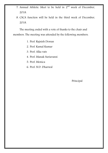- 7. Annual Athletic Meet to be held in  $2<sup>nd</sup>$  week of December, 2018.
- 8. CSCA function will be held in the third week of December, 2018.

The meeting ended with a vote of thanks to the chair and members. The meeting was attended by the following members:

- 1. Prof. Rajnish Dewan
- 2. Prof. Kamal Kumar
- 3. Prof. Alka vats
- 4. Prof. Manak Suriavansi
- 5. Prof. Monica
- 6. Prof. N.D. Dharwal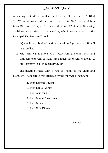### IQAC Meeting-IV

A meeting of IQAC Committee was held on 12th December 2018 at 12 PM to discuss about the funds received for NAAC accreditation from Director of Higher Education, Govt. of H.P. Shimla. Following decisions were taken in the meeting which was chaired by the Principal, Dr. Sanjivan Katoch.

- 1. IIQA will be submitted within a week and process of SSR will be expedited.
- 2. Mid-term examinations of 1st year (Annual system) IVth and VIth semester will be held immediately after winter break i.e. 5th February to 11th February 2019.

The meeting ended with a vote of thanks to the chair and members. The meeting was attended by the following members:

- 1. Prof. Rajnish Dewan
- 2. Prof. Kamal Kumar
- 3. Prof. Alka vats
- 4. Prof. Manak Suriavansi
- 5. Prof. Monica
- 6. Prof. N.D. Dharwal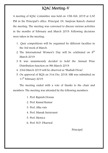## IQAC Meeting-V

A meeting of IQAC Committee was held on 15th Feb, 2019 at 2:30 PM in the Principal's office. Principal, Dr. Sanjivan Katoch chaired the meeting. The meeting was convened to discuss various activities in the months of February and March 2019. Following decisions were taken in the meeting:

- 1. Quiz competitions will be organised by different faculties in the 3rd week of March.
- 2. The International Women's Day will be celebrated on  $8<sup>th</sup>$ March 2019.
- 3. It was unanimously decided to hold the Annual Prize Distribution function on 9th March 2019.
- 4. 23rd March 2019 will be observed as 'Shahidi Divas'.
- 5. On approval of IIQA on 31st Dec 2018. SSR was submitted on 11<sup>th</sup> February 2019.

The meeting ended with a vote of thanks to the chair and members. The meeting was attended by the following members:

- 1. Prof. Rajnish Dewan
- 2. Prof. Kamal Kumar
- 3. Prof. Alka vats
- 4. Prof. Manak Suriavansi
- 5. Prof. Monica
- 6. Prof. N.D. Dharwal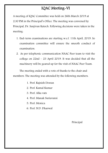## IQAC Meeting-VI

A meeting of IQAC Committee was held on 26th March 2019 at 2:30 PM in the Principal's Office. The meeting was convened by Principal, Dr. Sanjivan Katoch. Following decisions were taken in the meeting:

- 1. End-term examinations are starting w.e.f. 11th April, 2019. So examination committee will ensure the smooth conduct of examination.
- 2. As per telephonic communication NAAC Peer team to visit the college on 22nd – 23 April 2019. It was decided that all the machinery will be geared up for the visit of NAAC Peer Team.

The meeting ended with a vote of thanks to the chair and members. The meeting was attended by the following members:

- 1. Prof. Rajnish Dewan
- 2. Prof. Kamal Kumar
- 3. Prof. Alka vats
- 4. Prof. Manak Suriavansi
- 5. Prof. Monica
- 6. Prof. N.D. Dharwal